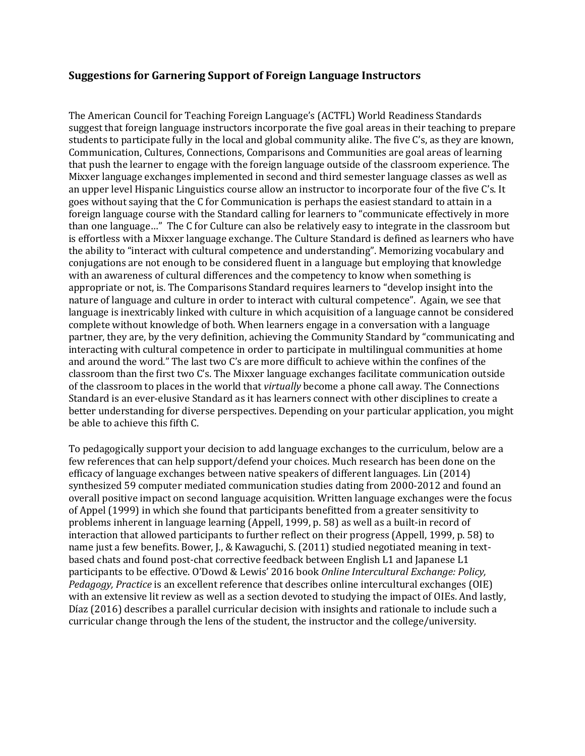## **Suggestions for Garnering Support of Foreign Language Instructors**

The American Council for Teaching Foreign Language's (ACTFL) World Readiness Standards suggest that foreign language instructors incorporate the five goal areas in their teaching to prepare students to participate fully in the local and global community alike. The five C's, as they are known, Communication, Cultures, Connections, Comparisons and Communities are goal areas of learning that push the learner to engage with the foreign language outside of the classroom experience. The Mixxer language exchanges implemented in second and third semester language classes as well as an upper level Hispanic Linguistics course allow an instructor to incorporate four of the five C's. It goes without saying that the C for Communication is perhaps the easiest standard to attain in a foreign language course with the Standard calling for learners to "communicate effectively in more than one language..." The C for Culture can also be relatively easy to integrate in the classroom but is effortless with a Mixxer language exchange. The Culture Standard is defined as learners who have the ability to "interact with cultural competence and understanding". Memorizing vocabulary and conjugations are not enough to be considered fluent in a language but employing that knowledge with an awareness of cultural differences and the competency to know when something is appropriate or not, is. The Comparisons Standard requires learners to "develop insight into the nature of language and culture in order to interact with cultural competence". Again, we see that language is inextricably linked with culture in which acquisition of a language cannot be considered complete without knowledge of both. When learners engage in a conversation with a language partner, they are, by the very definition, achieving the Community Standard by "communicating and interacting with cultural competence in order to participate in multilingual communities at home and around the word." The last two C's are more difficult to achieve within the confines of the classroom than the first two C's. The Mixxer language exchanges facilitate communication outside of the classroom to places in the world that *virtually* become a phone call away. The Connections Standard is an ever-elusive Standard as it has learners connect with other disciplines to create a better understanding for diverse perspectives. Depending on your particular application, you might be able to achieve this fifth C.

To pedagogically support your decision to add language exchanges to the curriculum, below are a few references that can help support/defend your choices. Much research has been done on the efficacy of language exchanges between native speakers of different languages. Lin (2014) synthesized 59 computer mediated communication studies dating from 2000-2012 and found an overall positive impact on second language acquisition. Written language exchanges were the focus of Appel (1999) in which she found that participants benefitted from a greater sensitivity to problems inherent in language learning (Appell, 1999, p. 58) as well as a built-in record of interaction that allowed participants to further reflect on their progress (Appell, 1999, p. 58) to name just a few benefits. Bower, J., & Kawaguchi, S. (2011) studied negotiated meaning in textbased chats and found post-chat corrective feedback between English L1 and Japanese L1 participants to be effective. O'Dowd & Lewis' 2016 book *Online Intercultural Exchange: Policy*, *Pedagogy, Practice* is an excellent reference that describes online intercultural exchanges (OIE) with an extensive lit review as well as a section devoted to studying the impact of OIEs. And lastly, Díaz (2016) describes a parallel curricular decision with insights and rationale to include such a curricular change through the lens of the student, the instructor and the college/university.